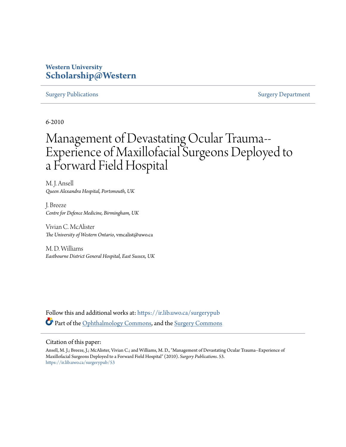# **Western University [Scholarship@Western](https://ir.lib.uwo.ca?utm_source=ir.lib.uwo.ca%2Fsurgerypub%2F53&utm_medium=PDF&utm_campaign=PDFCoverPages)**

#### [Surgery Publications](https://ir.lib.uwo.ca/surgerypub?utm_source=ir.lib.uwo.ca%2Fsurgerypub%2F53&utm_medium=PDF&utm_campaign=PDFCoverPages) [Surgery Department](https://ir.lib.uwo.ca/surgery?utm_source=ir.lib.uwo.ca%2Fsurgerypub%2F53&utm_medium=PDF&utm_campaign=PDFCoverPages)

6-2010

# Management of Devastating Ocular Trauma-- Experience of Maxillofacial Surgeons Deployed to a Forward Field Hospital

M. J. Ansell *Queen Alexandra Hospital, Portsmouth, UK*

J. Breeze *Centre for Defence Medicine, Birmingham, UK*

Vivian C. McAlister *The University of Western Ontario*, vmcalist@uwo.ca

M. D. Williams *Eastbourne District General Hospital, East Sussex, UK*

Follow this and additional works at: [https://ir.lib.uwo.ca/surgerypub](https://ir.lib.uwo.ca/surgerypub?utm_source=ir.lib.uwo.ca%2Fsurgerypub%2F53&utm_medium=PDF&utm_campaign=PDFCoverPages) Part of the [Ophthalmology Commons,](http://network.bepress.com/hgg/discipline/695?utm_source=ir.lib.uwo.ca%2Fsurgerypub%2F53&utm_medium=PDF&utm_campaign=PDFCoverPages) and the [Surgery Commons](http://network.bepress.com/hgg/discipline/706?utm_source=ir.lib.uwo.ca%2Fsurgerypub%2F53&utm_medium=PDF&utm_campaign=PDFCoverPages)

#### Citation of this paper:

Ansell, M. J.; Breeze, J.; McAlister, Vivian C.; and Williams, M. D., "Management of Devastating Ocular Trauma--Experience of Maxillofacial Surgeons Deployed to a Forward Field Hospital" (2010). *Surgery Publications*. 53. [https://ir.lib.uwo.ca/surgerypub/53](https://ir.lib.uwo.ca/surgerypub/53?utm_source=ir.lib.uwo.ca%2Fsurgerypub%2F53&utm_medium=PDF&utm_campaign=PDFCoverPages)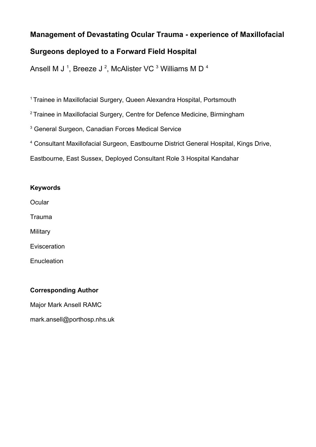# **Management of Devastating Ocular Trauma - experience of Maxillofacial**

# **Surgeons deployed to a Forward Field Hospital**

Ansell M J <sup>1</sup>, Breeze J <sup>2</sup>, McAlister VC <sup>3</sup> Williams M D <sup>4</sup>

<sup>1</sup> Trainee in Maxillofacial Surgery, Queen Alexandra Hospital, Portsmouth

<sup>2</sup> Trainee in Maxillofacial Surgery, Centre for Defence Medicine, Birmingham

3 General Surgeon, Canadian Forces Medical Service

<sup>4</sup> Consultant Maxillofacial Surgeon, Eastbourne District General Hospital, Kings Drive,

Eastbourne, East Sussex, Deployed Consultant Role 3 Hospital Kandahar

### **Keywords**

**Ocular** 

Trauma

**Military** 

Evisceration

**Enucleation** 

# **Corresponding Author**

Major Mark Ansell RAMC

mark.ansell@porthosp.nhs.uk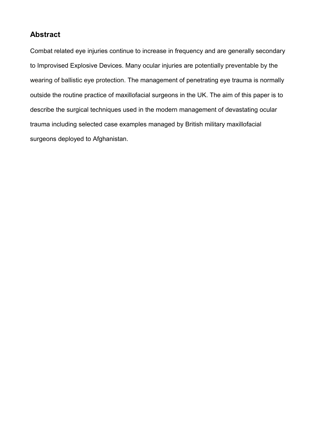# **Abstract**

Combat related eye injuries continue to increase in frequency and are generally secondary to Improvised Explosive Devices. Many ocular injuries are potentially preventable by the wearing of ballistic eye protection. The management of penetrating eye trauma is normally outside the routine practice of maxillofacial surgeons in the UK. The aim of this paper is to describe the surgical techniques used in the modern management of devastating ocular trauma including selected case examples managed by British military maxillofacial surgeons deployed to Afghanistan.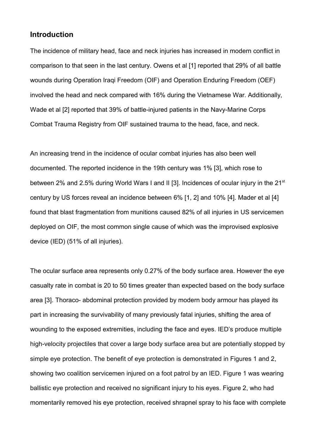### **Introduction**

The incidence of military head, face and neck injuries has increased in modern conflict in comparison to that seen in the last century. Owens et al [1] reported that 29% of all battle wounds during Operation Iragi Freedom (OIF) and Operation Enduring Freedom (OEF) involved the head and neck compared with 16% during the Vietnamese War. Additionally, Wade et al [2] reported that 39% of battle-injured patients in the Navy-Marine Corps Combat Trauma Registry from OIF sustained trauma to the head, face, and neck.

An increasing trend in the incidence of ocular combat injuries has also been well documented. The reported incidence in the 19th century was 1% [3], which rose to between 2% and 2.5% during World Wars I and II [3]. Incidences of ocular injury in the 21<sup>st</sup> century by US forces reveal an incidence between 6% [1, 2] and 10% [4]. Mader et al [4] found that blast fragmentation from munitions caused 82% of all injuries in US servicemen deployed on OIF, the most common single cause of which was the improvised explosive device (IED) (51% of all injuries).

The ocular surface area represents only 0.27% of the body surface area. However the eye casualty rate in combat is 20 to 50 times greater than expected based on the body surface area [3]. Thoraco- abdominal protection provided by modern body armour has played its part in increasing the survivability of many previously fatal injuries, shifting the area of wounding to the exposed extremities, including the face and eyes. IED's produce multiple high-velocity projectiles that cover a large body surface area but are potentially stopped by simple eye protection. The benefit of eye protection is demonstrated in Figures 1 and 2, showing two coalition servicemen injured on a foot patrol by an IED. Figure 1 was wearing ballistic eye protection and received no significant injury to his eyes. Figure 2, who had momentarily removed his eye protection, received shrapnel spray to his face with complete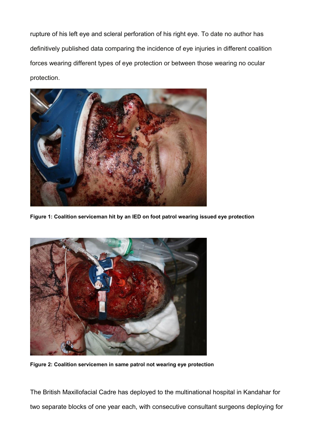rupture of his left eye and scleral perforation of his right eye. To date no author has definitively published data comparing the incidence of eye injuries in different coalition forces wearing different types of eye protection or between those wearing no ocular protection.



**Figure 1: Coalition serviceman hit by an IED on foot patrol wearing issued eye protection**



**Figure 2: Coalition servicemen in same patrol not wearing eye protection**

The British Maxillofacial Cadre has deployed to the multinational hospital in Kandahar for two separate blocks of one year each, with consecutive consultant surgeons deploying for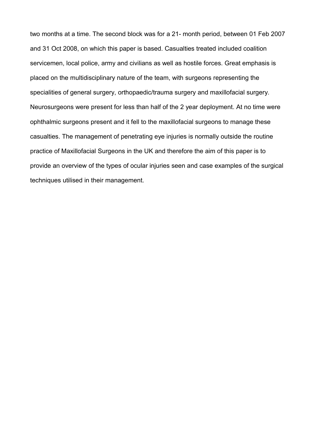two months at a time. The second block was for a 21- month period, between 01 Feb 2007 and 31 Oct 2008, on which this paper is based. Casualties treated included coalition servicemen, local police, army and civilians as well as hostile forces. Great emphasis is placed on the multidisciplinary nature of the team, with surgeons representing the specialities of general surgery, orthopaedic/trauma surgery and maxillofacial surgery. Neurosurgeons were present for less than half of the 2 year deployment. At no time were ophthalmic surgeons present and it fell to the maxillofacial surgeons to manage these casualties. The management of penetrating eye injuries is normally outside the routine practice of Maxillofacial Surgeons in the UK and therefore the aim of this paper is to provide an overview of the types of ocular injuries seen and case examples of the surgical techniques utilised in their management.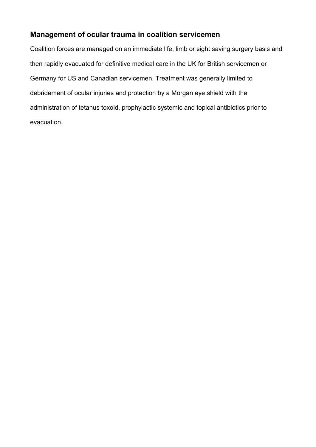# **Management of ocular trauma in coalition servicemen**

Coalition forces are managed on an immediate life, limb or sight saving surgery basis and then rapidly evacuated for definitive medical care in the UK for British servicemen or Germany for US and Canadian servicemen. Treatment was generally limited to debridement of ocular injuries and protection by a Morgan eye shield with the administration of tetanus toxoid, prophylactic systemic and topical antibiotics prior to evacuation.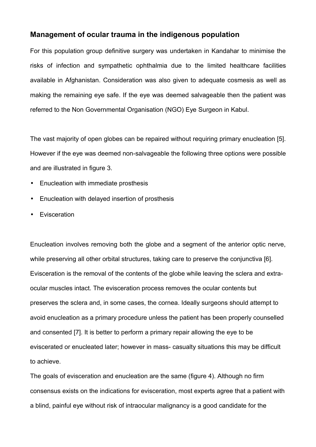### **Management of ocular trauma in the indigenous population**

For this population group definitive surgery was undertaken in Kandahar to minimise the risks of infection and sympathetic ophthalmia due to the limited healthcare facilities available in Afghanistan. Consideration was also given to adequate cosmesis as well as making the remaining eye safe. If the eye was deemed salvageable then the patient was referred to the Non Governmental Organisation (NGO) Eye Surgeon in Kabul.

The vast majority of open globes can be repaired without requiring primary enucleation [5]. However if the eye was deemed non-salvageable the following three options were possible and are illustrated in figure 3.

- Enucleation with immediate prosthesis
- Enucleation with delayed insertion of prosthesis
- **Evisceration**

Enucleation involves removing both the globe and a segment of the anterior optic nerve, while preserving all other orbital structures, taking care to preserve the conjunctiva [6]. Evisceration is the removal of the contents of the globe while leaving the sclera and extraocular muscles intact. The evisceration process removes the ocular contents but preserves the sclera and, in some cases, the cornea. Ideally surgeons should attempt to avoid enucleation as a primary procedure unless the patient has been properly counselled and consented [7]. It is better to perform a primary repair allowing the eye to be eviscerated or enucleated later; however in mass- casualty situations this may be difficult to achieve.

The goals of evisceration and enucleation are the same (figure 4). Although no firm consensus exists on the indications for evisceration, most experts agree that a patient with a blind, painful eye without risk of intraocular malignancy is a good candidate for the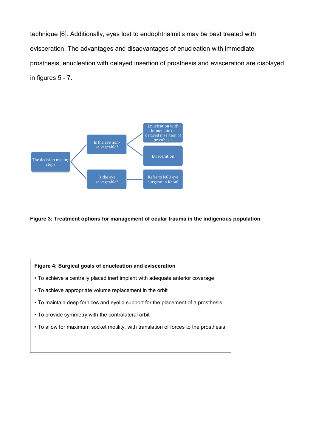technique [6]. Additionally, eyes lost to endophthalmitis may be best treated with evisceration. The advantages and disadvantages of enucleation with immediate prosthesis, enucleation with delayed insertion of prosthesis and evisceration are displayed in figures 5 - 7.



**Figure 3: Treatment options for management of ocular trauma in the indigenous population**

#### **Figure 4: Surgical goals of enucleation and evisceration**

- To achieve a centrally placed inert implant with adequate anterior coverage
- To achieve appropriate volume replacement in the orbit
- To maintain deep fornices and eyelid support for the placement of a prosthesis
- To provide symmetry with the contralateral orbit
- To allow for maximum socket motility, with translation of forces to the prosthesis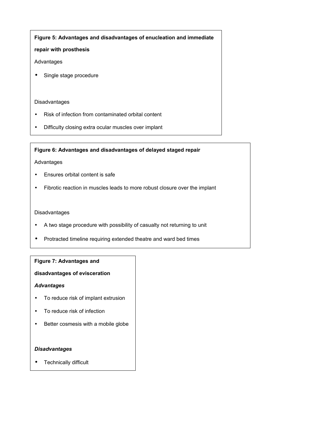#### **Figure 5: Advantages and disadvantages of enucleation and immediate**

#### **repair with prosthesis**

#### Advantages

• Single stage procedure

#### Disadvantages

- Risk of infection from contaminated orbital content
- Difficulty closing extra ocular muscles over implant

#### **Figure 6: Advantages and disadvantages of delayed staged repair**

#### Advantages

- Ensures orbital content is safe
- Fibrotic reaction in muscles leads to more robust closure over the implant

#### Disadvantages

- A two stage procedure with possibility of casualty not returning to unit
- Protracted timeline requiring extended theatre and ward bed times

#### **Figure 7: Advantages and**

#### **disadvantages of evisceration**

#### *Advantages*

- To reduce risk of implant extrusion
- To reduce risk of infection
- Better cosmesis with a mobile globe

#### *Disadvantages*

• Technically difficult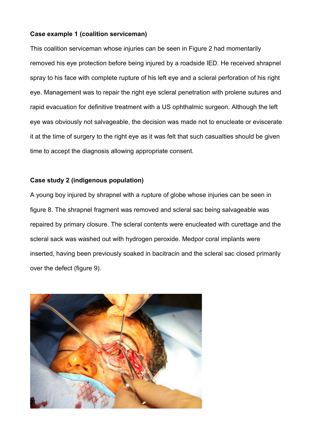### **Case example 1 (coalition serviceman)**

This coalition serviceman whose injuries can be seen in Figure 2 had momentarily removed his eye protection before being injured by a roadside IED. He received shrapnel spray to his face with complete rupture of his left eye and a scleral perforation of his right eye. Management was to repair the right eye scleral penetration with prolene sutures and rapid evacuation for definitive treatment with a US ophthalmic surgeon. Although the left eye was obviously not salvageable, the decision was made not to enucleate or eviscerate it at the time of surgery to the right eye as it was felt that such casualties should be given time to accept the diagnosis allowing appropriate consent.

### **Case study 2 (indigenous population)**

A young boy injured by shrapnel with a rupture of globe whose injuries can be seen in figure 8. The shrapnel fragment was removed and scleral sac being salvageable was repaired by primary closure. The scleral contents were enucleated with curettage and the scleral sack was washed out with hydrogen peroxide. Medpor coral implants were inserted, having been previously soaked in bacitracin and the scleral sac closed primarily over the defect (figure 9).

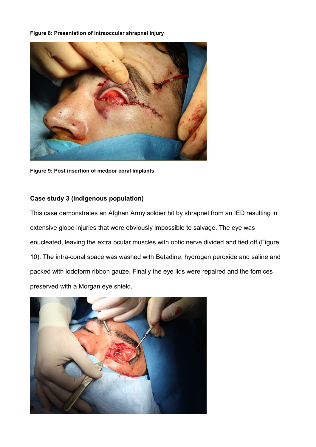#### **Figure 8: Presentation of intraoccular shrapnel injury**



**Figure 9: Post insertion of medpor coral implants**

#### **Case study 3 (indigenous population)**

This case demonstrates an Afghan Army soldier hit by shrapnel from an IED resulting in extensive globe injuries that were obviously impossible to salvage. The eye was enucleated, leaving the extra ocular muscles with optic nerve divided and tied off (Figure 10). The intra-conal space was washed with Betadine, hydrogen peroxide and saline and packed with iodoform ribbon gauze. Finally the eye lids were repaired and the fornices preserved with a Morgan eye shield*.*

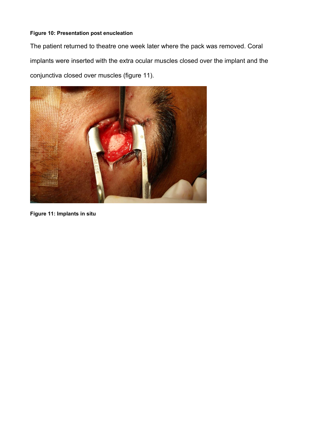### **Figure 10: Presentation post enucleation**

The patient returned to theatre one week later where the pack was removed. Coral implants were inserted with the extra ocular muscles closed over the implant and the conjunctiva closed over muscles (figure 11).



**Figure 11: Implants in situ**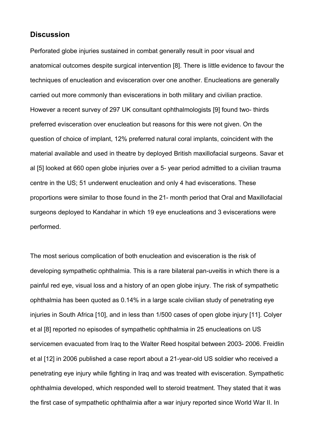### **Discussion**

Perforated globe injuries sustained in combat generally result in poor visual and anatomical outcomes despite surgical intervention [8]. There is little evidence to favour the techniques of enucleation and evisceration over one another. Enucleations are generally carried out more commonly than eviscerations in both military and civilian practice. However a recent survey of 297 UK consultant ophthalmologists [9] found two- thirds preferred evisceration over enucleation but reasons for this were not given. On the question of choice of implant, 12% preferred natural coral implants, coincident with the material available and used in theatre by deployed British maxillofacial surgeons. Savar et al [5] looked at 660 open globe injuries over a 5- year period admitted to a civilian trauma centre in the US; 51 underwent enucleation and only 4 had eviscerations. These proportions were similar to those found in the 21- month period that Oral and Maxillofacial surgeons deployed to Kandahar in which 19 eye enucleations and 3 eviscerations were performed.

The most serious complication of both enucleation and evisceration is the risk of developing sympathetic ophthalmia. This is a rare bilateral pan-uveitis in which there is a painful red eye, visual loss and a history of an open globe injury. The risk of sympathetic ophthalmia has been quoted as 0.14% in a large scale civilian study of penetrating eye injuries in South Africa [10], and in less than 1/500 cases of open globe injury [11]. Colyer et al [8] reported no episodes of sympathetic ophthalmia in 25 enucleations on US servicemen evacuated from Iraq to the Walter Reed hospital between 2003- 2006. Freidlin et al [12] in 2006 published a case report about a 21-year-old US soldier who received a penetrating eye injury while fighting in Iraq and was treated with evisceration. Sympathetic ophthalmia developed, which responded well to steroid treatment. They stated that it was the first case of sympathetic ophthalmia after a war injury reported since World War II. In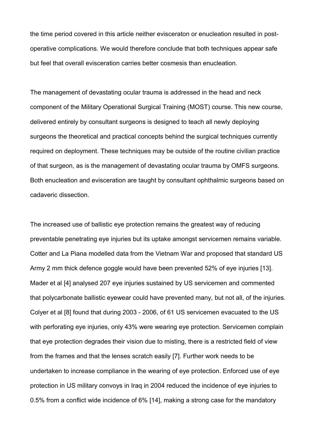the time period covered in this article neither evisceraton or enucleation resulted in postoperative complications. We would therefore conclude that both techniques appear safe but feel that overall evisceration carries better cosmesis than enucleation.

The management of devastating ocular trauma is addressed in the head and neck component of the Military Operational Surgical Training (MOST) course. This new course, delivered entirely by consultant surgeons is designed to teach all newly deploying surgeons the theoretical and practical concepts behind the surgical techniques currently required on deployment. These techniques may be outside of the routine civilian practice of that surgeon, as is the management of devastating ocular trauma by OMFS surgeons. Both enucleation and evisceration are taught by consultant ophthalmic surgeons based on cadaveric dissection.

The increased use of ballistic eye protection remains the greatest way of reducing preventable penetrating eye injuries but its uptake amongst servicemen remains variable. Cotter and La Piana modelled data from the Vietnam War and proposed that standard US Army 2 mm thick defence goggle would have been prevented 52% of eye injuries [13]. Mader et al [4] analysed 207 eye injuries sustained by US servicemen and commented that polycarbonate ballistic eyewear could have prevented many, but not all, of the injuries. Colyer et al [8] found that during 2003 - 2006, of 61 US servicemen evacuated to the US with perforating eye injuries, only 43% were wearing eye protection. Servicemen complain that eye protection degrades their vision due to misting, there is a restricted field of view from the frames and that the lenses scratch easily [7]. Further work needs to be undertaken to increase compliance in the wearing of eye protection. Enforced use of eye protection in US military convoys in Iraq in 2004 reduced the incidence of eye injuries to 0.5% from a conflict wide incidence of 6% [14], making a strong case for the mandatory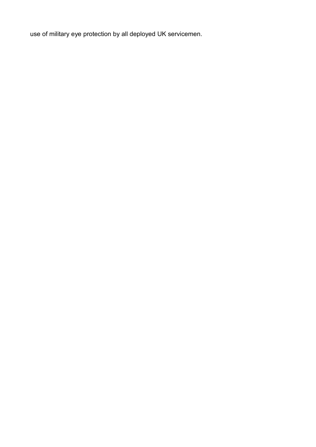use of military eye protection by all deployed UK servicemen.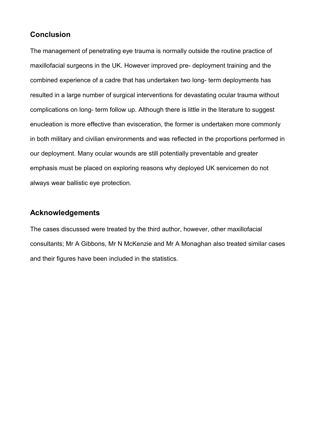## **Conclusion**

The management of penetrating eye trauma is normally outside the routine practice of maxillofacial surgeons in the UK. However improved pre- deployment training and the combined experience of a cadre that has undertaken two long- term deployments has resulted in a large number of surgical interventions for devastating ocular trauma without complications on long- term follow up. Although there is little in the literature to suggest enucleation is more effective than evisceration, the former is undertaken more commonly in both military and civilian environments and was reflected in the proportions performed in our deployment. Many ocular wounds are still potentially preventable and greater emphasis must be placed on exploring reasons why deployed UK servicemen do not always wear ballistic eye protection.

# **Acknowledgements**

The cases discussed were treated by the third author, however, other maxillofacial consultants; Mr A Gibbons, Mr N McKenzie and Mr A Monaghan also treated similar cases and their figures have been included in the statistics.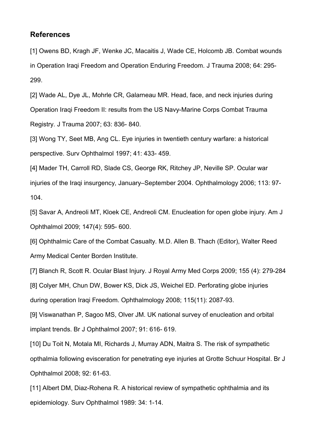### **References**

[1] Owens BD, Kragh JF, Wenke JC, Macaitis J, Wade CE, Holcomb JB. Combat wounds in Operation Iraqi Freedom and Operation Enduring Freedom. J Trauma 2008; 64: 295- 299.

[2] Wade AL, Dye JL, Mohrle CR, Galarneau MR. Head, face, and neck injuries during Operation Iraqi Freedom II: results from the US Navy-Marine Corps Combat Trauma Registry. J Trauma 2007; 63: 836- 840.

[3] Wong TY, Seet MB, Ang CL. Eye injuries in twentieth century warfare: a historical perspective. Surv Ophthalmol 1997; 41: 433- 459.

[4] Mader TH, Carroll RD, Slade CS, George RK, Ritchey JP, Neville SP. Ocular war injuries of the Iraqi insurgency, January–September 2004. Ophthalmology 2006; 113: 97- 104.

[5] Savar A, Andreoli MT, Kloek CE, Andreoli CM. Enucleation for open globe injury. Am J Ophthalmol 2009; 147(4): 595- 600.

[6] Ophthalmic Care of the Combat Casualty. M.D. Allen B. Thach (Editor), Walter Reed Army Medical Center Borden Institute.

[7] Blanch R, Scott R. Ocular Blast Injury. J Royal Army Med Corps 2009; 155 (4): 279-284 [8] Colyer MH, Chun DW, Bower KS, Dick JS, Weichel ED. Perforating globe injuries during operation Iraqi Freedom. Ophthalmology 2008; 115(11): 2087-93.

[9] Viswanathan P, Sagoo MS, Olver JM. UK national survey of enucleation and orbital implant trends. Br J Ophthalmol 2007; 91: 616- 619.

[10] Du Toit N, Motala MI, Richards J, Murray ADN, Maitra S. The risk of sympathetic opthalmia following evisceration for penetrating eye injuries at Grotte Schuur Hospital. Br J Ophthalmol 2008; 92: 61-63.

[11] Albert DM, Diaz-Rohena R. A historical review of sympathetic ophthalmia and its epidemiology. Surv Ophthalmol 1989: 34: 1-14.